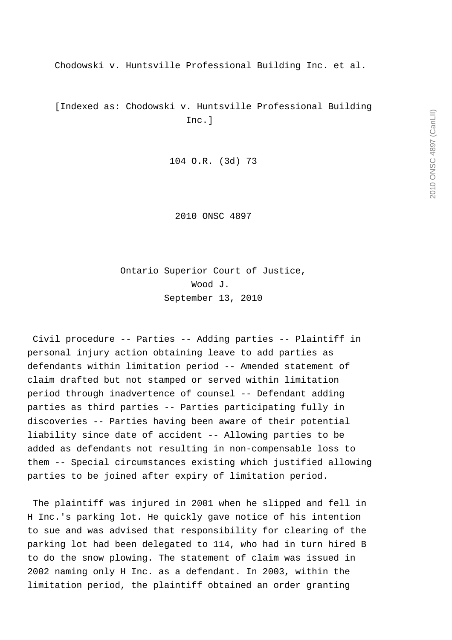Chodowski v. Huntsville Professional Building Inc. et al.

 [Indexed as: Chodowski v. Huntsville Professional Building Inc.]

104 O.R. (3d) 73

2010 ONSC 4897

 Ontario Superior Court of Justice, Wood J. September 13, 2010

 Civil procedure -- Parties -- Adding parties -- Plaintiff in personal injury action obtaining leave to add parties as defendants within limitation period -- Amended statement of claim drafted but not stamped or served within limitation period through inadvertence of counsel -- Defendant adding parties as third parties -- Parties participating fully in discoveries -- Parties having been aware of their potential liability since date of accident -- Allowing parties to be added as defendants not resulting in non-compensable loss to them -- Special circumstances existing which justified allowing parties to be joined after expiry of limitation period.

 The plaintiff was injured in 2001 when he slipped and fell in H Inc.'s parking lot. He quickly gave notice of his intention to sue and was advised that responsibility for clearing of the parking lot had been delegated to 114, who had in turn hired B to do the snow plowing. The statement of claim was issued in 2002 naming only H Inc. as a defendant. In 2003, within the limitation period, the plaintiff obtained an order granting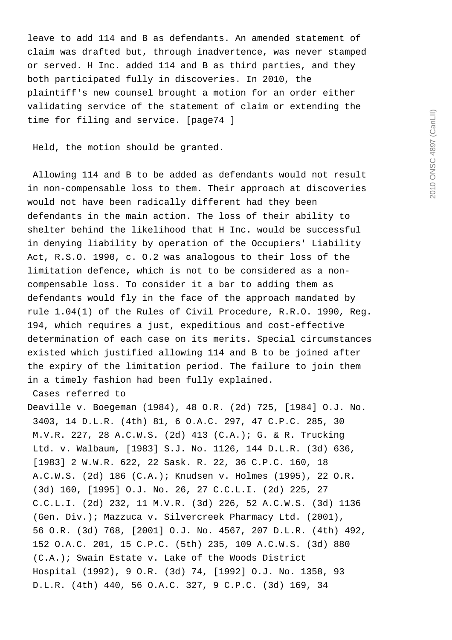leave to add 114 and B as defendants. An amended statement of claim was drafted but, through inadvertence, was never stamped or served. H Inc. added 114 and B as third parties, and they both participated fully in discoveries. In 2010, the plaintiff's new counsel brought a motion for an order either validating service of the statement of claim or extending the time for filing and service. [page74 ]

Held, the motion should be granted.

 Allowing 114 and B to be added as defendants would not result in non-compensable loss to them. Their approach at discoveries would not have been radically different had they been defendants in the main action. The loss of their ability to shelter behind the likelihood that H Inc. would be successful in denying liability by operation of the Occupiers' Liability Act, R.S.O. 1990, c. O.2 was analogous to their loss of the limitation defence, which is not to be considered as a noncompensable loss. To consider it a bar to adding them as defendants would fly in the face of the approach mandated by rule 1.04(1) of the Rules of Civil Procedure, R.R.O. 1990, Reg. 194, which requires a just, expeditious and cost-effective determination of each case on its merits. Special circumstances existed which justified allowing 114 and B to be joined after the expiry of the limitation period. The failure to join them in a timely fashion had been fully explained.

Cases referred to

Deaville v. Boegeman (1984), 48 O.R. (2d) 725, [1984] O.J. No. 3403, 14 D.L.R. (4th) 81, 6 O.A.C. 297, 47 C.P.C. 285, 30 M.V.R. 227, 28 A.C.W.S. (2d) 413 (C.A.); G. & R. Trucking Ltd. v. Walbaum, [1983] S.J. No. 1126, 144 D.L.R. (3d) 636, [1983] 2 W.W.R. 622, 22 Sask. R. 22, 36 C.P.C. 160, 18 A.C.W.S. (2d) 186 (C.A.); Knudsen v. Holmes (1995), 22 O.R. (3d) 160, [1995] O.J. No. 26, 27 C.C.L.I. (2d) 225, 27 C.C.L.I. (2d) 232, 11 M.V.R. (3d) 226, 52 A.C.W.S. (3d) 1136 (Gen. Div.); Mazzuca v. Silvercreek Pharmacy Ltd. (2001), 56 O.R. (3d) 768, [2001] O.J. No. 4567, 207 D.L.R. (4th) 492, 152 O.A.C. 201, 15 C.P.C. (5th) 235, 109 A.C.W.S. (3d) 880 (C.A.); Swain Estate v. Lake of the Woods District Hospital (1992), 9 O.R. (3d) 74, [1992] O.J. No. 1358, 93 D.L.R. (4th) 440, 56 O.A.C. 327, 9 C.P.C. (3d) 169, 34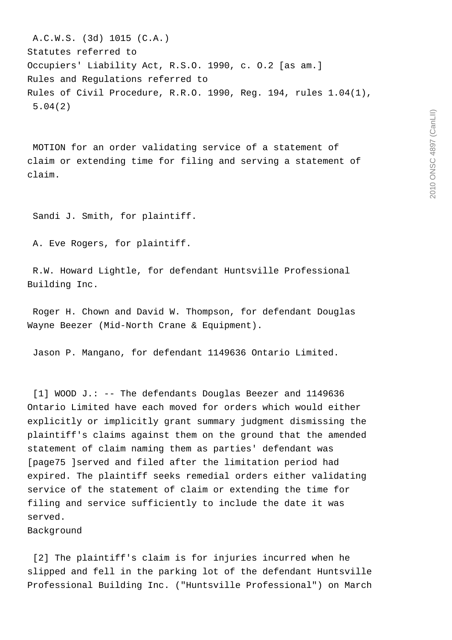A.C.W.S. (3d) 1015 (C.A.) Statutes referred to Occupiers' Liability Act, R.S.O. 1990, c. O.2 [as am.] Rules and Regulations referred to Rules of Civil Procedure, R.R.O. 1990, Reg. 194, rules 1.04(1), 5.04(2)

 MOTION for an order validating service of a statement of claim or extending time for filing and serving a statement of claim.

Sandi J. Smith, for plaintiff.

A. Eve Rogers, for plaintiff.

 R.W. Howard Lightle, for defendant Huntsville Professional Building Inc.

 Roger H. Chown and David W. Thompson, for defendant Douglas Wayne Beezer (Mid-North Crane & Equipment).

Jason P. Mangano, for defendant 1149636 Ontario Limited.

 [1] WOOD J.: -- The defendants Douglas Beezer and 1149636 Ontario Limited have each moved for orders which would either explicitly or implicitly grant summary judgment dismissing the plaintiff's claims against them on the ground that the amended statement of claim naming them as parties' defendant was [page75 ]served and filed after the limitation period had expired. The plaintiff seeks remedial orders either validating service of the statement of claim or extending the time for filing and service sufficiently to include the date it was served.

Background

 [2] The plaintiff's claim is for injuries incurred when he slipped and fell in the parking lot of the defendant Huntsville Professional Building Inc. ("Huntsville Professional") on March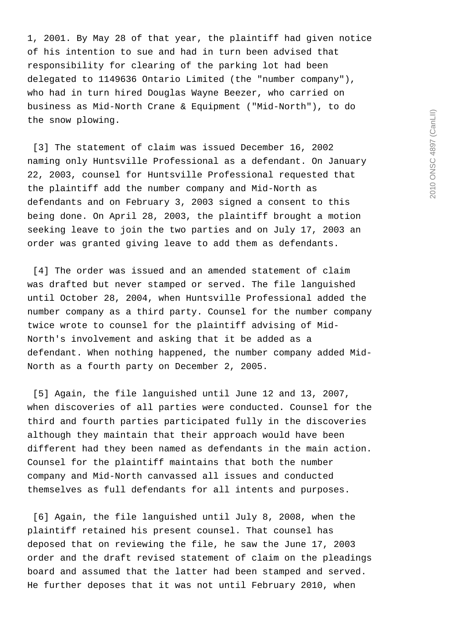1, 2001. By May 28 of that year, the plaintiff had given notice of his intention to sue and had in turn been advised that responsibility for clearing of the parking lot had been delegated to 1149636 Ontario Limited (the "number company"), who had in turn hired Douglas Wayne Beezer, who carried on business as Mid-North Crane & Equipment ("Mid-North"), to do the snow plowing.

 [3] The statement of claim was issued December 16, 2002 naming only Huntsville Professional as a defendant. On January 22, 2003, counsel for Huntsville Professional requested that the plaintiff add the number company and Mid-North as defendants and on February 3, 2003 signed a consent to this being done. On April 28, 2003, the plaintiff brought a motion seeking leave to join the two parties and on July 17, 2003 an order was granted giving leave to add them as defendants.

[4] The order was issued and an amended statement of claim was drafted but never stamped or served. The file languished until October 28, 2004, when Huntsville Professional added the number company as a third party. Counsel for the number company twice wrote to counsel for the plaintiff advising of Mid-North's involvement and asking that it be added as a defendant. When nothing happened, the number company added Mid-North as a fourth party on December 2, 2005.

 [5] Again, the file languished until June 12 and 13, 2007, when discoveries of all parties were conducted. Counsel for the third and fourth parties participated fully in the discoveries although they maintain that their approach would have been different had they been named as defendants in the main action. Counsel for the plaintiff maintains that both the number company and Mid-North canvassed all issues and conducted themselves as full defendants for all intents and purposes.

 [6] Again, the file languished until July 8, 2008, when the plaintiff retained his present counsel. That counsel has deposed that on reviewing the file, he saw the June 17, 2003 order and the draft revised statement of claim on the pleadings board and assumed that the latter had been stamped and served. He further deposes that it was not until February 2010, when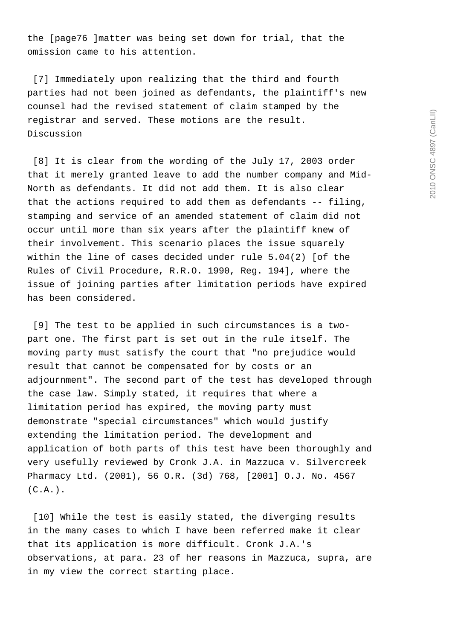the [page76 ]matter was being set down for trial, that the omission came to his attention.

 [7] Immediately upon realizing that the third and fourth parties had not been joined as defendants, the plaintiff's new counsel had the revised statement of claim stamped by the registrar and served. These motions are the result. Discussion

 [8] It is clear from the wording of the July 17, 2003 order that it merely granted leave to add the number company and Mid-North as defendants. It did not add them. It is also clear that the actions required to add them as defendants -- filing, stamping and service of an amended statement of claim did not occur until more than six years after the plaintiff knew of their involvement. This scenario places the issue squarely within the line of cases decided under rule 5.04(2) [of the Rules of Civil Procedure, R.R.O. 1990, Reg. 194], where the issue of joining parties after limitation periods have expired has been considered.

 [9] The test to be applied in such circumstances is a twopart one. The first part is set out in the rule itself. The moving party must satisfy the court that "no prejudice would result that cannot be compensated for by costs or an adjournment". The second part of the test has developed through the case law. Simply stated, it requires that where a limitation period has expired, the moving party must demonstrate "special circumstances" which would justify extending the limitation period. The development and application of both parts of this test have been thoroughly and very usefully reviewed by Cronk J.A. in Mazzuca v. Silvercreek Pharmacy Ltd. (2001), 56 O.R. (3d) 768, [2001] O.J. No. 4567  $(C.A.)$ .

 [10] While the test is easily stated, the diverging results in the many cases to which I have been referred make it clear that its application is more difficult. Cronk J.A.'s observations, at para. 23 of her reasons in Mazzuca, supra, are in my view the correct starting place.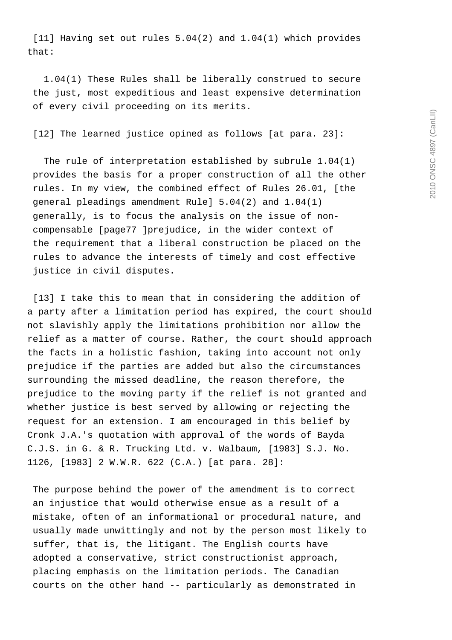[11] Having set out rules 5.04(2) and 1.04(1) which provides that:

 1.04(1) These Rules shall be liberally construed to secure the just, most expeditious and least expensive determination of every civil proceeding on its merits.

[12] The learned justice opined as follows [at para. 23]:

 The rule of interpretation established by subrule 1.04(1) provides the basis for a proper construction of all the other rules. In my view, the combined effect of Rules 26.01, [the general pleadings amendment Rule] 5.04(2) and 1.04(1) generally, is to focus the analysis on the issue of non compensable [page77 ]prejudice, in the wider context of the requirement that a liberal construction be placed on the rules to advance the interests of timely and cost effective justice in civil disputes.

 [13] I take this to mean that in considering the addition of a party after a limitation period has expired, the court should not slavishly apply the limitations prohibition nor allow the relief as a matter of course. Rather, the court should approach the facts in a holistic fashion, taking into account not only prejudice if the parties are added but also the circumstances surrounding the missed deadline, the reason therefore, the prejudice to the moving party if the relief is not granted and whether justice is best served by allowing or rejecting the request for an extension. I am encouraged in this belief by Cronk J.A.'s quotation with approval of the words of Bayda C.J.S. in G. & R. Trucking Ltd. v. Walbaum, [1983] S.J. No. 1126, [1983] 2 W.W.R. 622 (C.A.) [at para. 28]:

 The purpose behind the power of the amendment is to correct an injustice that would otherwise ensue as a result of a mistake, often of an informational or procedural nature, and usually made unwittingly and not by the person most likely to suffer, that is, the litigant. The English courts have adopted a conservative, strict constructionist approach, placing emphasis on the limitation periods. The Canadian courts on the other hand -- particularly as demonstrated in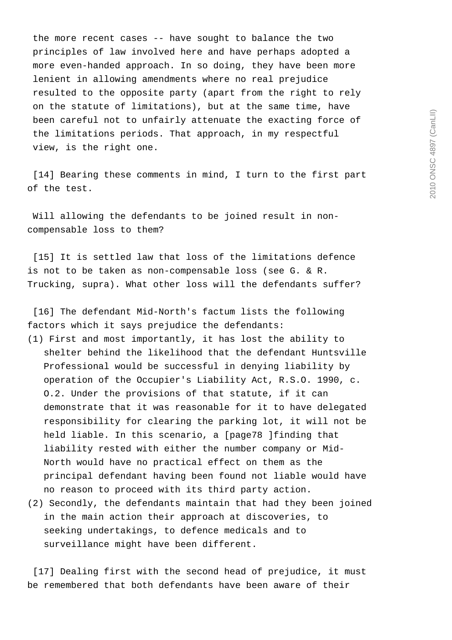the more recent cases -- have sought to balance the two principles of law involved here and have perhaps adopted a more even-handed approach. In so doing, they have been more lenient in allowing amendments where no real prejudice resulted to the opposite party (apart from the right to rely on the statute of limitations), but at the same time, have been careful not to unfairly attenuate the exacting force of the limitations periods. That approach, in my respectful view, is the right one.

 [14] Bearing these comments in mind, I turn to the first part of the test.

 Will allowing the defendants to be joined result in noncompensable loss to them?

 [15] It is settled law that loss of the limitations defence is not to be taken as non-compensable loss (see G. & R. Trucking, supra). What other loss will the defendants suffer?

 [16] The defendant Mid-North's factum lists the following factors which it says prejudice the defendants:

- (1) First and most importantly, it has lost the ability to shelter behind the likelihood that the defendant Huntsville Professional would be successful in denying liability by operation of the Occupier's Liability Act, R.S.O. 1990, c. O.2. Under the provisions of that statute, if it can demonstrate that it was reasonable for it to have delegated responsibility for clearing the parking lot, it will not be held liable. In this scenario, a [page78 ]finding that liability rested with either the number company or Mid- North would have no practical effect on them as the principal defendant having been found not liable would have no reason to proceed with its third party action.
- (2) Secondly, the defendants maintain that had they been joined in the main action their approach at discoveries, to seeking undertakings, to defence medicals and to surveillance might have been different.

 [17] Dealing first with the second head of prejudice, it must be remembered that both defendants have been aware of their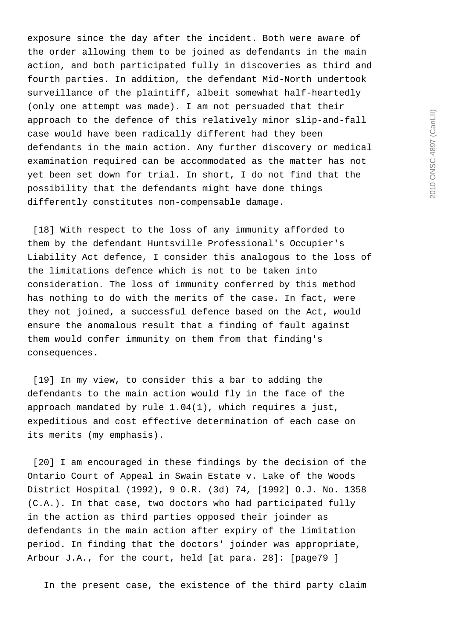exposure since the day after the incident. Both were aware of the order allowing them to be joined as defendants in the main action, and both participated fully in discoveries as third and fourth parties. In addition, the defendant Mid-North undertook surveillance of the plaintiff, albeit somewhat half-heartedly (only one attempt was made). I am not persuaded that their approach to the defence of this relatively minor slip-and-fall case would have been radically different had they been defendants in the main action. Any further discovery or medical examination required can be accommodated as the matter has not yet been set down for trial. In short, I do not find that the possibility that the defendants might have done things differently constitutes non-compensable damage.

[18] With respect to the loss of any immunity afforded to them by the defendant Huntsville Professional's Occupier's Liability Act defence, I consider this analogous to the loss of the limitations defence which is not to be taken into consideration. The loss of immunity conferred by this method has nothing to do with the merits of the case. In fact, were they not joined, a successful defence based on the Act, would ensure the anomalous result that a finding of fault against them would confer immunity on them from that finding's consequences.

 [19] In my view, to consider this a bar to adding the defendants to the main action would fly in the face of the approach mandated by rule 1.04(1), which requires a just, expeditious and cost effective determination of each case on its merits (my emphasis).

 [20] I am encouraged in these findings by the decision of the Ontario Court of Appeal in Swain Estate v. Lake of the Woods District Hospital (1992), 9 O.R. (3d) 74, [1992] O.J. No. 1358 (C.A.). In that case, two doctors who had participated fully in the action as third parties opposed their joinder as defendants in the main action after expiry of the limitation period. In finding that the doctors' joinder was appropriate, Arbour J.A., for the court, held [at para. 28]: [page79 ]

In the present case, the existence of the third party claim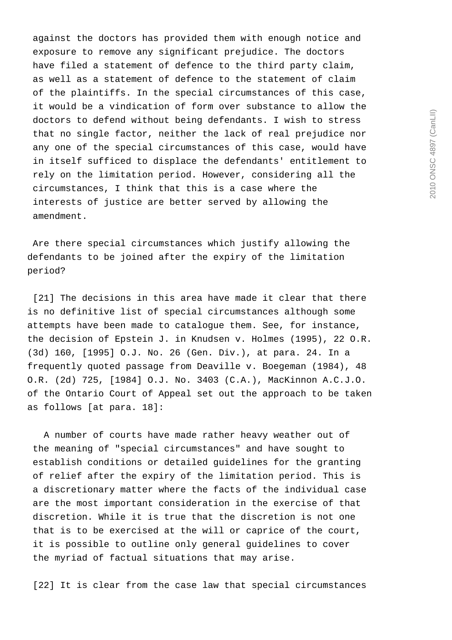against the doctors has provided them with enough notice and exposure to remove any significant prejudice. The doctors have filed a statement of defence to the third party claim, as well as a statement of defence to the statement of claim of the plaintiffs. In the special circumstances of this case, it would be a vindication of form over substance to allow the doctors to defend without being defendants. I wish to stress that no single factor, neither the lack of real prejudice nor any one of the special circumstances of this case, would have in itself sufficed to displace the defendants' entitlement to rely on the limitation period. However, considering all the circumstances, I think that this is a case where the interests of justice are better served by allowing the amendment.

 Are there special circumstances which justify allowing the defendants to be joined after the expiry of the limitation period?

[21] The decisions in this area have made it clear that there is no definitive list of special circumstances although some attempts have been made to catalogue them. See, for instance, the decision of Epstein J. in Knudsen v. Holmes (1995), 22 O.R. (3d) 160, [1995] O.J. No. 26 (Gen. Div.), at para. 24. In a frequently quoted passage from Deaville v. Boegeman (1984), 48 O.R. (2d) 725, [1984] O.J. No. 3403 (C.A.), MacKinnon A.C.J.O. of the Ontario Court of Appeal set out the approach to be taken as follows [at para. 18]:

 A number of courts have made rather heavy weather out of the meaning of "special circumstances" and have sought to establish conditions or detailed guidelines for the granting of relief after the expiry of the limitation period. This is a discretionary matter where the facts of the individual case are the most important consideration in the exercise of that discretion. While it is true that the discretion is not one that is to be exercised at the will or caprice of the court, it is possible to outline only general guidelines to cover the myriad of factual situations that may arise.

[22] It is clear from the case law that special circumstances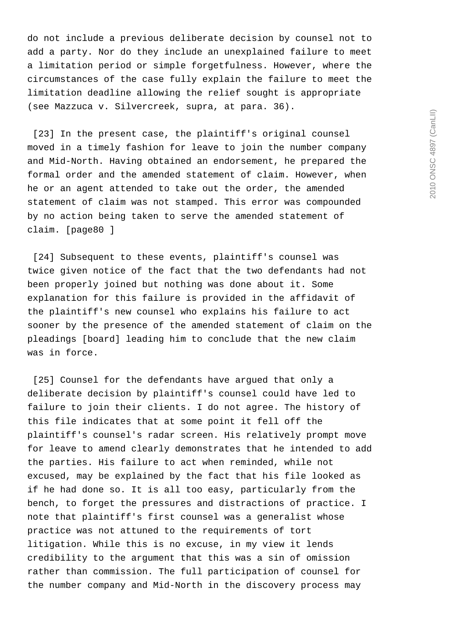do not include a previous deliberate decision by counsel not to add a party. Nor do they include an unexplained failure to meet a limitation period or simple forgetfulness. However, where the circumstances of the case fully explain the failure to meet the limitation deadline allowing the relief sought is appropriate (see Mazzuca v. Silvercreek, supra, at para. 36).

[23] In the present case, the plaintiff's original counsel moved in a timely fashion for leave to join the number company and Mid-North. Having obtained an endorsement, he prepared the formal order and the amended statement of claim. However, when he or an agent attended to take out the order, the amended statement of claim was not stamped. This error was compounded by no action being taken to serve the amended statement of claim. [page80 ]

 [24] Subsequent to these events, plaintiff's counsel was twice given notice of the fact that the two defendants had not been properly joined but nothing was done about it. Some explanation for this failure is provided in the affidavit of the plaintiff's new counsel who explains his failure to act sooner by the presence of the amended statement of claim on the pleadings [board] leading him to conclude that the new claim was in force.

[25] Counsel for the defendants have argued that only a deliberate decision by plaintiff's counsel could have led to failure to join their clients. I do not agree. The history of this file indicates that at some point it fell off the plaintiff's counsel's radar screen. His relatively prompt move for leave to amend clearly demonstrates that he intended to add the parties. His failure to act when reminded, while not excused, may be explained by the fact that his file looked as if he had done so. It is all too easy, particularly from the bench, to forget the pressures and distractions of practice. I note that plaintiff's first counsel was a generalist whose practice was not attuned to the requirements of tort litigation. While this is no excuse, in my view it lends credibility to the argument that this was a sin of omission rather than commission. The full participation of counsel for the number company and Mid-North in the discovery process may